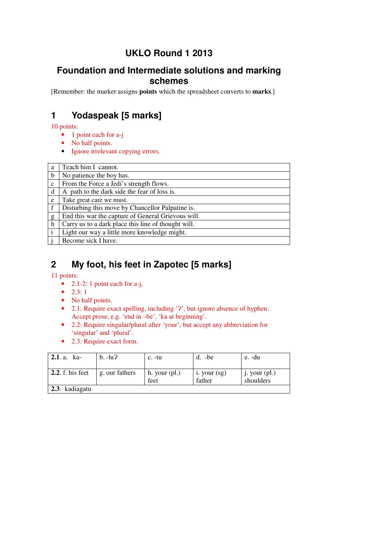## **UKLO Round 1 2013**

### **Foundation and Intermediate solutions and marking schemes**

[Remember: the marker assigns **points** which the spreadsheet converts to **marks**.]

## **1 Yodaspeak [5 marks]**

10 points:

- 1 point each for a-j
- No half points.
- Ignore irrelevant copying errors.

| a            | Teach him I cannot.                                 |
|--------------|-----------------------------------------------------|
| b            | No patience the boy has.                            |
| $\mathbf{c}$ | From the Force a Jedi's strength flows.             |
| d            | A path to the dark side the fear of loss is.        |
| e            | Take great care we must.                            |
| f            | Disturbing this move by Chancellor Palpatine is.    |
| g            | End this war the capture of General Grievous will.  |
| h            | Carry us to a dark place this line of thought will. |
|              | Light our way a little more knowledge might.        |
|              | Become sick I have.                                 |

### **2 My foot, his feet in Zapotec [5 marks]**

- 2.1-2: 1 point each for  $a-j$ ,
- $2.3:1$
- No half points.
- 2.1: Require exact spelling, including '?', but ignore absence of hyphen. Accept prose, e.g. 'end in –be', 'ka at beginning'.
- 2.2: Require singular/plural after 'your', but accept any abbreviation for 'singular' and 'plural'.
- 2.3: Require exact form.

| <b>2.1.</b> a. $ka-$ | $b. -lu$       | c. -tu                  | $d. -be$                 | e. -du                       |
|----------------------|----------------|-------------------------|--------------------------|------------------------------|
| $2.2$ . f. his feet  | g. our fathers | $h.$ your (pl.)<br>feet | i. your $(sg)$<br>father | j. $your$ (pl.)<br>shoulders |
| 2.3. kadiagatu       |                |                         |                          |                              |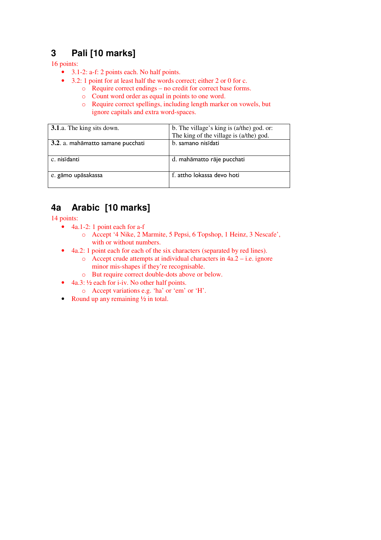### **3 Pali [10 marks]**

#### 16 points:

- 3.1-2: a-f: 2 points each. No half points.
- 3.2: 1 point for at least half the words correct; either 2 or 0 for c.
	- o Require correct endings no credit for correct base forms.
	- o Count word order as equal in points to one word.
	- o Require correct spellings, including length marker on vowels, but ignore capitals and extra word-spaces.

| <b>3.1.a.</b> The king sits down. | b. The village's king is (a/the) god. or:<br>The king of the village is (a/the) god. |
|-----------------------------------|--------------------------------------------------------------------------------------|
| 3.2. a. mahāmatto samane pucchati | b. samano nisīdati                                                                   |
| c. nisīdanti                      | d. mahāmatto rāje pucchati                                                           |
| e. gāmo upāsakassa                | f. attho lokassa devo hoti                                                           |

# **4a Arabic [10 marks]**

- $\bullet$  4a.1-2: 1 point each for a-f
	- o Accept '4 Nike, 2 Marmite, 5 Pepsi, 6 Topshop, 1 Heinz, 3 Nescafe', with or without numbers.
- 4a.2: 1 point each for each of the six characters (separated by red lines).
	- o Accept crude attempts at individual characters in 4a.2 i.e. ignore minor mis-shapes if they're recognisable.
	- o But require correct double-dots above or below.
- 4a.3: ½ each for i-iv. No other half points.
	- o Accept variations e.g. 'ha' or 'em' or 'H'.
- Round up any remaining  $\frac{1}{2}$  in total.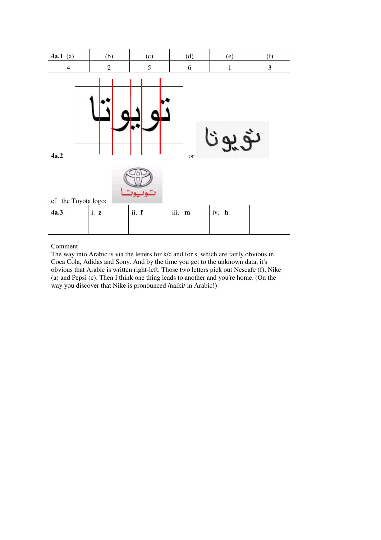

#### Comment

The way into Arabic is via the letters for k/c and for s, which are fairly obvious in Coca Cola, Adidas and Sony. And by the time you get to the unknown data, it's obvious that Arabic is written right-left. Those two letters pick out Nescafe (f), Nike (a) and Pepsi (c). Then I think one thing leads to another and you're home. (On the way you discover that Nike is pronounced /naiki/ in Arabic!)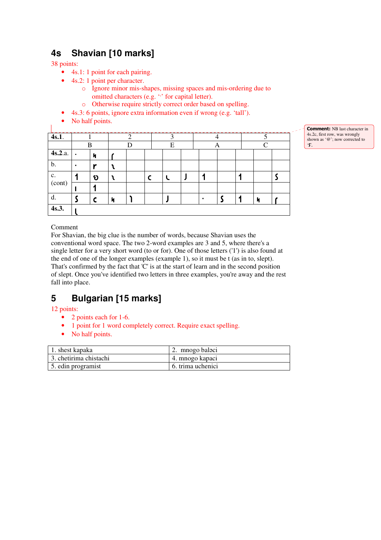### **4s Shavian [10 marks]**

38 points:

- 4s.1: 1 point for each pairing.
- 4s.2: 1 point per character.
	- o Ignore minor mis-shapes, missing spaces and mis-ordering due to omitted characters (e.g.  $\cdot$  for capital letter).
	- o Otherwise require strictly correct order based on spelling.
- 4s.3: 6 points, ignore extra information even if wrong (e.g. 'tall').
- No half points.

|         |           |    |  |   |  |   |  |  | <b>Comment:</b> NB last character in                            |  |
|---------|-----------|----|--|---|--|---|--|--|-----------------------------------------------------------------|--|
| 4s.1.   |           |    |  |   |  |   |  |  | 4s.2c, first row, was wrongly<br>shown as '@'; now corrected to |  |
|         |           | В  |  | Е |  | A |  |  | $^{\circ}$ S.                                                   |  |
| 4s.2.a. | $\bullet$ | и  |  |   |  |   |  |  |                                                                 |  |
| b.      | $\bullet$ |    |  |   |  |   |  |  |                                                                 |  |
| c.      |           | ิย |  |   |  |   |  |  |                                                                 |  |
| (cont)  |           |    |  |   |  |   |  |  |                                                                 |  |
| d.      |           |    |  |   |  |   |  |  |                                                                 |  |
| 4s.3.   |           |    |  |   |  |   |  |  |                                                                 |  |

Comment

For Shavian, the big clue is the number of words, because Shavian uses the conventional word space. The two 2-word examples are 3 and 5, where there's a single letter for a very short word (to or for). One of those letters ('1') is also found at the end of one of the longer examples (example 1), so it must be t (as in to, slept). That's confirmed by the fact that 'C' is at the start of learn and in the second position of slept. Once you've identified two letters in three examples, you're away and the rest fall into place.

# **5 Bulgarian [15 marks]**

- 2 points each for 1-6.
- 1 point for 1 word completely correct. Require exact spelling.
- No half points.

| 1. shest kapaka        | 2. mnogo balaci   |
|------------------------|-------------------|
| 3. chetirima chistachi | 4. mnogo kapaci   |
| 5. edin programist     | 6. trima uchenici |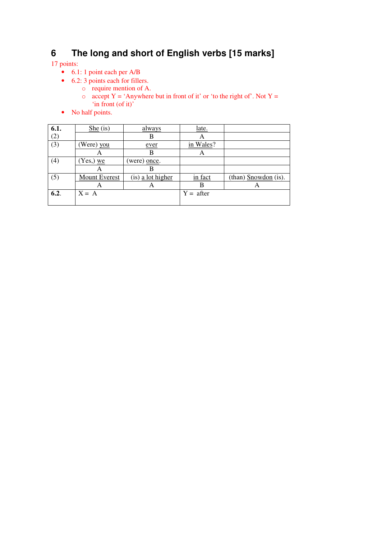## **6 The long and short of English verbs [15 marks]**

- 6.1: 1 point each per A/B
- 6.2: 3 points each for fillers.
	- o require mention of A.
	- $\circ$  accept Y = 'Anywhere but in front of it' or 'to the right of'. Not Y = 'in front (of it)'
- No half points.

| 6.1. | $She$ (is)           | <u>always</u>     | <u>late.</u> |                      |
|------|----------------------|-------------------|--------------|----------------------|
| (2)  |                      | B                 | A            |                      |
| (3)  | (Were) you           | ever              | in Wales?    |                      |
|      | A                    | В                 | A            |                      |
| (4)  | $Yes.)$ we           | (were) once.      |              |                      |
|      | A                    | В                 |              |                      |
| (5)  | <b>Mount Everest</b> | (is) a lot higher | in fact      | (than) Snowdon (is). |
|      | A                    | Α                 | В            | Α                    |
| 6.2. | $X = A$              |                   | $Y =$ after  |                      |
|      |                      |                   |              |                      |